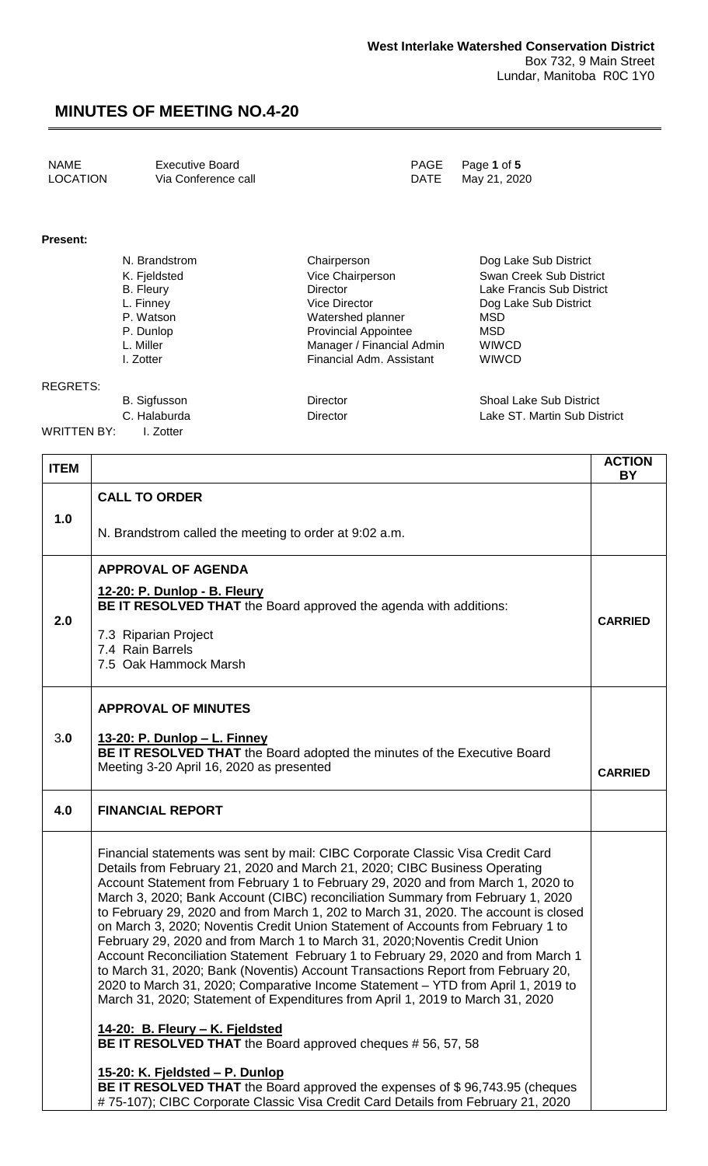| NAME<br>Executive Board<br>LOCATION<br>Via Conference call |  | PAGE Page 1 of 5<br>DATE May 21, 2020 |
|------------------------------------------------------------|--|---------------------------------------|
|------------------------------------------------------------|--|---------------------------------------|

#### **Present:**

| N. Brandstrom | Chairperson                 | Dog Lake Sub District     |
|---------------|-----------------------------|---------------------------|
| K. Fjeldsted  | Vice Chairperson            | Swan Creek Sub District   |
| B. Fleury     | <b>Director</b>             | Lake Francis Sub District |
| L. Finney     | <b>Vice Director</b>        | Dog Lake Sub District     |
| P. Watson     | Watershed planner           | <b>MSD</b>                |
| P. Dunlop     | <b>Provincial Appointee</b> | MSD                       |
| L. Miller     | Manager / Financial Admin   | <b>WIWCD</b>              |
| I. Zotter     | Financial Adm. Assistant    | <b>WIWCD</b>              |
|               |                             |                           |
|               |                             |                           |

REGRETS:

B. Sigfusson **Director** Director Shoal Lake Sub District C. Halaburda **Director** Director **Lake ST. Martin Sub District** 

WRITTEN BY: I. Zotter

| <b>ITEM</b> |                                                                                                                                                                                                                                                                                                                                                                                                                                                                                                                                                                                                                                                                                                                                                                                                                                                                                                                                                                                                                                                | <b>ACTION</b><br>BY |
|-------------|------------------------------------------------------------------------------------------------------------------------------------------------------------------------------------------------------------------------------------------------------------------------------------------------------------------------------------------------------------------------------------------------------------------------------------------------------------------------------------------------------------------------------------------------------------------------------------------------------------------------------------------------------------------------------------------------------------------------------------------------------------------------------------------------------------------------------------------------------------------------------------------------------------------------------------------------------------------------------------------------------------------------------------------------|---------------------|
| 1.0         | <b>CALL TO ORDER</b>                                                                                                                                                                                                                                                                                                                                                                                                                                                                                                                                                                                                                                                                                                                                                                                                                                                                                                                                                                                                                           |                     |
|             | N. Brandstrom called the meeting to order at 9:02 a.m.                                                                                                                                                                                                                                                                                                                                                                                                                                                                                                                                                                                                                                                                                                                                                                                                                                                                                                                                                                                         |                     |
| 2.0         | <b>APPROVAL OF AGENDA</b><br>12-20: P. Dunlop - B. Fleury<br>BE IT RESOLVED THAT the Board approved the agenda with additions:<br>7.3 Riparian Project<br>7.4 Rain Barrels<br>7.5 Oak Hammock Marsh                                                                                                                                                                                                                                                                                                                                                                                                                                                                                                                                                                                                                                                                                                                                                                                                                                            | <b>CARRIED</b>      |
| 3.0         | <b>APPROVAL OF MINUTES</b><br><u> 13-20: P. Dunlop – L. Finney</u><br>BE IT RESOLVED THAT the Board adopted the minutes of the Executive Board<br>Meeting 3-20 April 16, 2020 as presented                                                                                                                                                                                                                                                                                                                                                                                                                                                                                                                                                                                                                                                                                                                                                                                                                                                     | <b>CARRIED</b>      |
| 4.0         | <b>FINANCIAL REPORT</b>                                                                                                                                                                                                                                                                                                                                                                                                                                                                                                                                                                                                                                                                                                                                                                                                                                                                                                                                                                                                                        |                     |
|             | Financial statements was sent by mail: CIBC Corporate Classic Visa Credit Card<br>Details from February 21, 2020 and March 21, 2020; CIBC Business Operating<br>Account Statement from February 1 to February 29, 2020 and from March 1, 2020 to<br>March 3, 2020; Bank Account (CIBC) reconciliation Summary from February 1, 2020<br>to February 29, 2020 and from March 1, 202 to March 31, 2020. The account is closed<br>on March 3, 2020; Noventis Credit Union Statement of Accounts from February 1 to<br>February 29, 2020 and from March 1 to March 31, 2020; Noventis Credit Union<br>Account Reconciliation Statement February 1 to February 29, 2020 and from March 1<br>to March 31, 2020; Bank (Noventis) Account Transactions Report from February 20,<br>2020 to March 31, 2020; Comparative Income Statement - YTD from April 1, 2019 to<br>March 31, 2020; Statement of Expenditures from April 1, 2019 to March 31, 2020<br>14-20: B. Fleury - K. Fjeldsted<br>BE IT RESOLVED THAT the Board approved cheques # 56, 57, 58 |                     |
|             | 15-20: K. Fjeldsted - P. Dunlop<br>BE IT RESOLVED THAT the Board approved the expenses of \$96,743.95 (cheques<br>#75-107); CIBC Corporate Classic Visa Credit Card Details from February 21, 2020                                                                                                                                                                                                                                                                                                                                                                                                                                                                                                                                                                                                                                                                                                                                                                                                                                             |                     |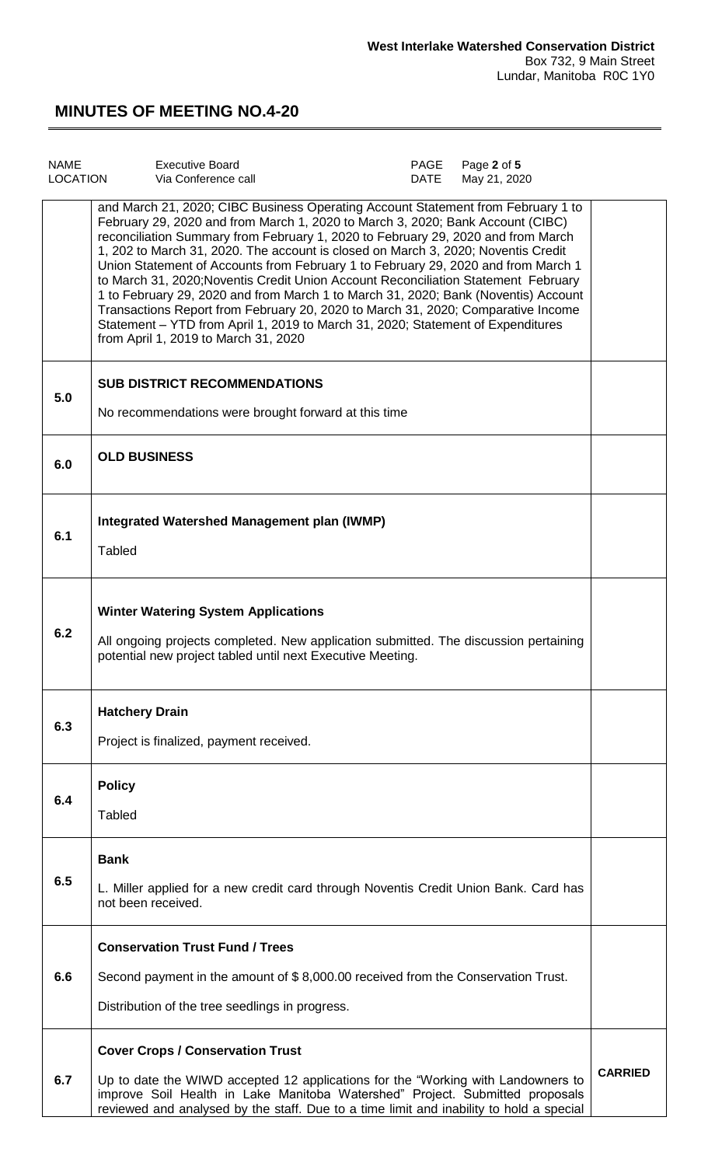| <b>NAME</b><br><b>LOCATION</b> | <b>Executive Board</b><br>Via Conference call                                                                                                                                                                                                                                                                                                                                                                                                                                                                                                                                                                                                                                                                                                                                                                               | PAGE<br>DATE | Page 2 of 5<br>May 21, 2020 |                |
|--------------------------------|-----------------------------------------------------------------------------------------------------------------------------------------------------------------------------------------------------------------------------------------------------------------------------------------------------------------------------------------------------------------------------------------------------------------------------------------------------------------------------------------------------------------------------------------------------------------------------------------------------------------------------------------------------------------------------------------------------------------------------------------------------------------------------------------------------------------------------|--------------|-----------------------------|----------------|
|                                | and March 21, 2020; CIBC Business Operating Account Statement from February 1 to<br>February 29, 2020 and from March 1, 2020 to March 3, 2020; Bank Account (CIBC)<br>reconciliation Summary from February 1, 2020 to February 29, 2020 and from March<br>1, 202 to March 31, 2020. The account is closed on March 3, 2020; Noventis Credit<br>Union Statement of Accounts from February 1 to February 29, 2020 and from March 1<br>to March 31, 2020; Noventis Credit Union Account Reconciliation Statement February<br>1 to February 29, 2020 and from March 1 to March 31, 2020; Bank (Noventis) Account<br>Transactions Report from February 20, 2020 to March 31, 2020; Comparative Income<br>Statement - YTD from April 1, 2019 to March 31, 2020; Statement of Expenditures<br>from April 1, 2019 to March 31, 2020 |              |                             |                |
| 5.0                            | <b>SUB DISTRICT RECOMMENDATIONS</b><br>No recommendations were brought forward at this time                                                                                                                                                                                                                                                                                                                                                                                                                                                                                                                                                                                                                                                                                                                                 |              |                             |                |
| 6.0                            | <b>OLD BUSINESS</b>                                                                                                                                                                                                                                                                                                                                                                                                                                                                                                                                                                                                                                                                                                                                                                                                         |              |                             |                |
| 6.1                            | Integrated Watershed Management plan (IWMP)<br>Tabled                                                                                                                                                                                                                                                                                                                                                                                                                                                                                                                                                                                                                                                                                                                                                                       |              |                             |                |
| 6.2                            | <b>Winter Watering System Applications</b><br>All ongoing projects completed. New application submitted. The discussion pertaining<br>potential new project tabled until next Executive Meeting.                                                                                                                                                                                                                                                                                                                                                                                                                                                                                                                                                                                                                            |              |                             |                |
| 6.3                            | <b>Hatchery Drain</b><br>Project is finalized, payment received.                                                                                                                                                                                                                                                                                                                                                                                                                                                                                                                                                                                                                                                                                                                                                            |              |                             |                |
| 6.4                            | <b>Policy</b><br><b>Tabled</b>                                                                                                                                                                                                                                                                                                                                                                                                                                                                                                                                                                                                                                                                                                                                                                                              |              |                             |                |
| 6.5                            | <b>Bank</b><br>L. Miller applied for a new credit card through Noventis Credit Union Bank. Card has<br>not been received.                                                                                                                                                                                                                                                                                                                                                                                                                                                                                                                                                                                                                                                                                                   |              |                             |                |
|                                | <b>Conservation Trust Fund / Trees</b>                                                                                                                                                                                                                                                                                                                                                                                                                                                                                                                                                                                                                                                                                                                                                                                      |              |                             |                |
| 6.6                            | Second payment in the amount of \$8,000.00 received from the Conservation Trust.<br>Distribution of the tree seedlings in progress.                                                                                                                                                                                                                                                                                                                                                                                                                                                                                                                                                                                                                                                                                         |              |                             |                |
|                                | <b>Cover Crops / Conservation Trust</b>                                                                                                                                                                                                                                                                                                                                                                                                                                                                                                                                                                                                                                                                                                                                                                                     |              |                             |                |
| 6.7                            | Up to date the WIWD accepted 12 applications for the "Working with Landowners to<br>improve Soil Health in Lake Manitoba Watershed" Project. Submitted proposals<br>reviewed and analysed by the staff. Due to a time limit and inability to hold a special                                                                                                                                                                                                                                                                                                                                                                                                                                                                                                                                                                 |              |                             | <b>CARRIED</b> |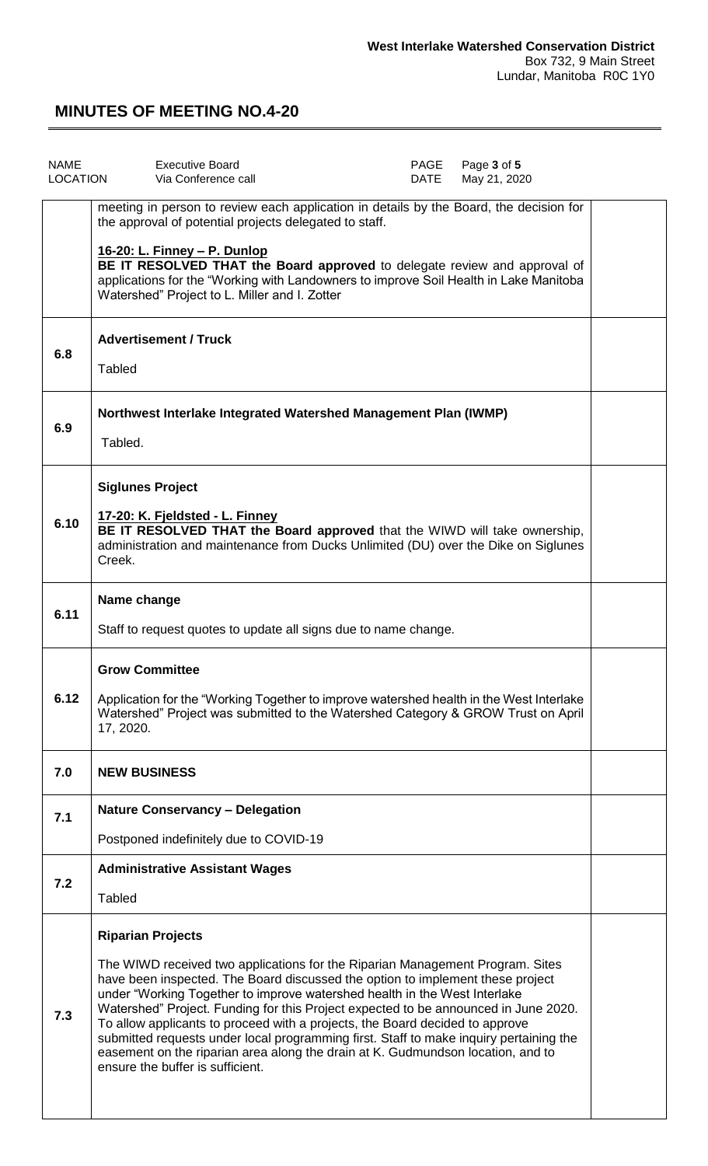| <b>NAME</b><br>LOCATION | <b>Executive Board</b><br>Via Conference call                                                                                                                                                                                                                                                                                                                                                                                                                                                                                                                                                                                                                    | PAGE<br>DATE | Page 3 of 5<br>May 21, 2020 |  |
|-------------------------|------------------------------------------------------------------------------------------------------------------------------------------------------------------------------------------------------------------------------------------------------------------------------------------------------------------------------------------------------------------------------------------------------------------------------------------------------------------------------------------------------------------------------------------------------------------------------------------------------------------------------------------------------------------|--------------|-----------------------------|--|
|                         | meeting in person to review each application in details by the Board, the decision for<br>the approval of potential projects delegated to staff.<br><u> 16-20: L. Finney – P. Dunlop</u><br>BE IT RESOLVED THAT the Board approved to delegate review and approval of<br>applications for the "Working with Landowners to improve Soil Health in Lake Manitoba<br>Watershed" Project to L. Miller and I. Zotter                                                                                                                                                                                                                                                  |              |                             |  |
| 6.8                     | <b>Advertisement / Truck</b><br>Tabled                                                                                                                                                                                                                                                                                                                                                                                                                                                                                                                                                                                                                           |              |                             |  |
| 6.9                     | Northwest Interlake Integrated Watershed Management Plan (IWMP)<br>Tabled.                                                                                                                                                                                                                                                                                                                                                                                                                                                                                                                                                                                       |              |                             |  |
| 6.10                    | <b>Siglunes Project</b><br>17-20: K. Fjeldsted - L. Finney<br>BE IT RESOLVED THAT the Board approved that the WIWD will take ownership,<br>administration and maintenance from Ducks Unlimited (DU) over the Dike on Siglunes<br>Creek.                                                                                                                                                                                                                                                                                                                                                                                                                          |              |                             |  |
| 6.11                    | Name change<br>Staff to request quotes to update all signs due to name change.                                                                                                                                                                                                                                                                                                                                                                                                                                                                                                                                                                                   |              |                             |  |
| 6.12                    | <b>Grow Committee</b><br>Application for the "Working Together to improve watershed health in the West Interlake<br>Watershed" Project was submitted to the Watershed Category & GROW Trust on April<br>17, 2020.                                                                                                                                                                                                                                                                                                                                                                                                                                                |              |                             |  |
| 7.0                     | <b>NEW BUSINESS</b>                                                                                                                                                                                                                                                                                                                                                                                                                                                                                                                                                                                                                                              |              |                             |  |
| 7.1                     | <b>Nature Conservancy - Delegation</b><br>Postponed indefinitely due to COVID-19                                                                                                                                                                                                                                                                                                                                                                                                                                                                                                                                                                                 |              |                             |  |
| 7.2                     | <b>Administrative Assistant Wages</b><br><b>Tabled</b>                                                                                                                                                                                                                                                                                                                                                                                                                                                                                                                                                                                                           |              |                             |  |
| 7.3                     | <b>Riparian Projects</b><br>The WIWD received two applications for the Riparian Management Program. Sites<br>have been inspected. The Board discussed the option to implement these project<br>under "Working Together to improve watershed health in the West Interlake<br>Watershed" Project. Funding for this Project expected to be announced in June 2020.<br>To allow applicants to proceed with a projects, the Board decided to approve<br>submitted requests under local programming first. Staff to make inquiry pertaining the<br>easement on the riparian area along the drain at K. Gudmundson location, and to<br>ensure the buffer is sufficient. |              |                             |  |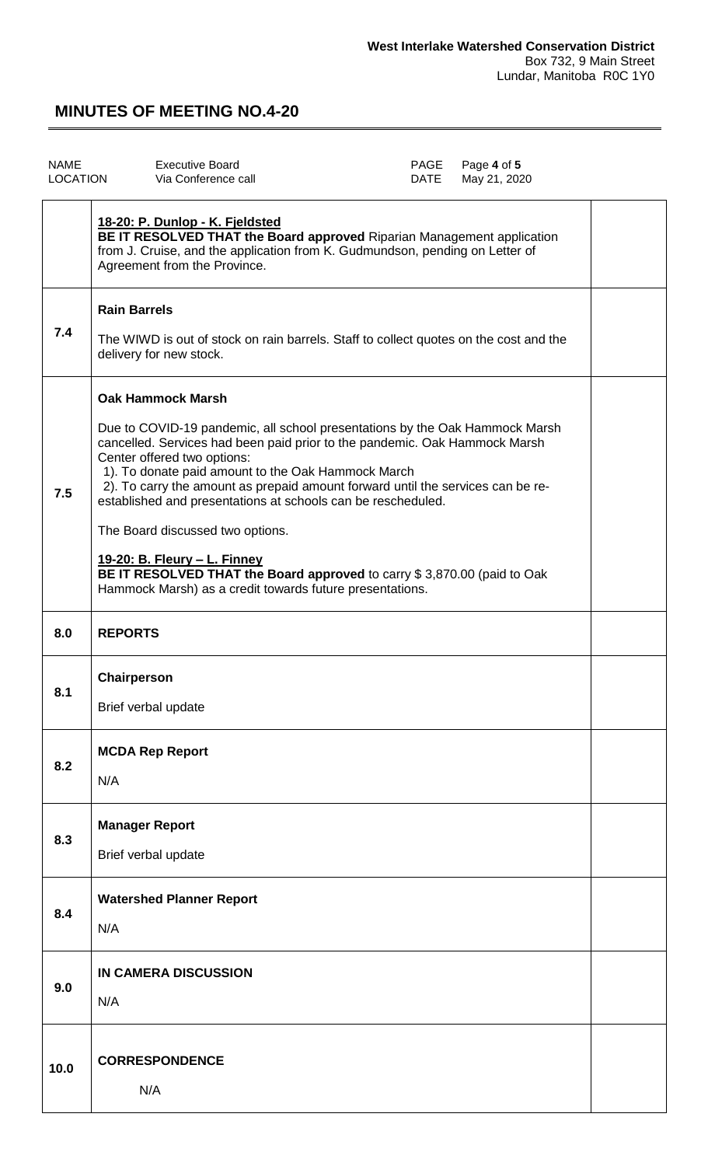| NAME     | Executive Board     | PAGE Page 4 of 5  |
|----------|---------------------|-------------------|
| LOCATION | Via Conference call | DATE May 21, 2020 |
|          |                     |                   |

|      | 18-20: P. Dunlop - K. Fjeldsted<br>BE IT RESOLVED THAT the Board approved Riparian Management application<br>from J. Cruise, and the application from K. Gudmundson, pending on Letter of<br>Agreement from the Province.                                                                                                                                                                                                                                                                                                                                                                                                                       |  |
|------|-------------------------------------------------------------------------------------------------------------------------------------------------------------------------------------------------------------------------------------------------------------------------------------------------------------------------------------------------------------------------------------------------------------------------------------------------------------------------------------------------------------------------------------------------------------------------------------------------------------------------------------------------|--|
| 7.4  | <b>Rain Barrels</b><br>The WIWD is out of stock on rain barrels. Staff to collect quotes on the cost and the<br>delivery for new stock.                                                                                                                                                                                                                                                                                                                                                                                                                                                                                                         |  |
| 7.5  | <b>Oak Hammock Marsh</b><br>Due to COVID-19 pandemic, all school presentations by the Oak Hammock Marsh<br>cancelled. Services had been paid prior to the pandemic. Oak Hammock Marsh<br>Center offered two options:<br>1). To donate paid amount to the Oak Hammock March<br>2). To carry the amount as prepaid amount forward until the services can be re-<br>established and presentations at schools can be rescheduled.<br>The Board discussed two options.<br><u>19-20: B. Fleury - L. Finney</u><br>BE IT RESOLVED THAT the Board approved to carry \$3,870.00 (paid to Oak<br>Hammock Marsh) as a credit towards future presentations. |  |
| 8.0  | <b>REPORTS</b>                                                                                                                                                                                                                                                                                                                                                                                                                                                                                                                                                                                                                                  |  |
| 8.1  | Chairperson<br>Brief verbal update                                                                                                                                                                                                                                                                                                                                                                                                                                                                                                                                                                                                              |  |
| 8.2  | <b>MCDA Rep Report</b><br>N/A                                                                                                                                                                                                                                                                                                                                                                                                                                                                                                                                                                                                                   |  |
| 8.3  | <b>Manager Report</b><br>Brief verbal update                                                                                                                                                                                                                                                                                                                                                                                                                                                                                                                                                                                                    |  |
| 8.4  | <b>Watershed Planner Report</b><br>N/A                                                                                                                                                                                                                                                                                                                                                                                                                                                                                                                                                                                                          |  |
| 9.0  | <b>IN CAMERA DISCUSSION</b><br>N/A                                                                                                                                                                                                                                                                                                                                                                                                                                                                                                                                                                                                              |  |
| 10.0 | <b>CORRESPONDENCE</b><br>N/A                                                                                                                                                                                                                                                                                                                                                                                                                                                                                                                                                                                                                    |  |